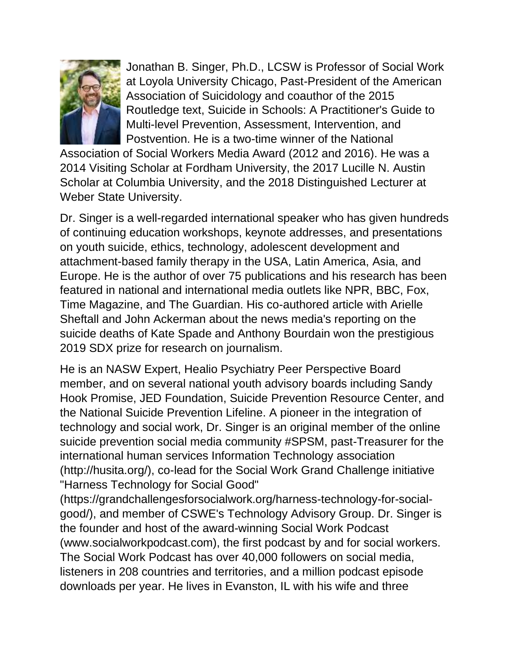

Jonathan B. Singer, Ph.D., LCSW is Professor of Social Work at Loyola University Chicago, Past-President of the American Association of Suicidology and coauthor of the 2015 Routledge text, Suicide in Schools: A Practitioner's Guide to Multi-level Prevention, Assessment, Intervention, and Postvention. He is a two-time winner of the National

Association of Social Workers Media Award (2012 and 2016). He was a 2014 Visiting Scholar at Fordham University, the 2017 Lucille N. Austin Scholar at Columbia University, and the 2018 Distinguished Lecturer at Weber State University.

Dr. Singer is a well-regarded international speaker who has given hundreds of continuing education workshops, keynote addresses, and presentations on youth suicide, ethics, technology, adolescent development and attachment-based family therapy in the USA, Latin America, Asia, and Europe. He is the author of over 75 publications and his research has been featured in national and international media outlets like NPR, BBC, Fox, Time Magazine, and The Guardian. His co-authored article with Arielle Sheftall and John Ackerman about the news media's reporting on the suicide deaths of Kate Spade and Anthony Bourdain won the prestigious 2019 SDX prize for research on journalism.

He is an NASW Expert, Healio Psychiatry Peer Perspective Board member, and on several national youth advisory boards including Sandy Hook Promise, JED Foundation, Suicide Prevention Resource Center, and the National Suicide Prevention Lifeline. A pioneer in the integration of technology and social work, Dr. Singer is an original member of the online suicide prevention social media community #SPSM, past-Treasurer for the international human services Information Technology association (http://husita.org/), co-lead for the Social Work Grand Challenge initiative "Harness Technology for Social Good"

(https://grandchallengesforsocialwork.org/harness-technology-for-socialgood/), and member of CSWE's Technology Advisory Group. Dr. Singer is the founder and host of the award-winning Social Work Podcast (www.socialworkpodcast.com), the first podcast by and for social workers. The Social Work Podcast has over 40,000 followers on social media, listeners in 208 countries and territories, and a million podcast episode downloads per year. He lives in Evanston, IL with his wife and three